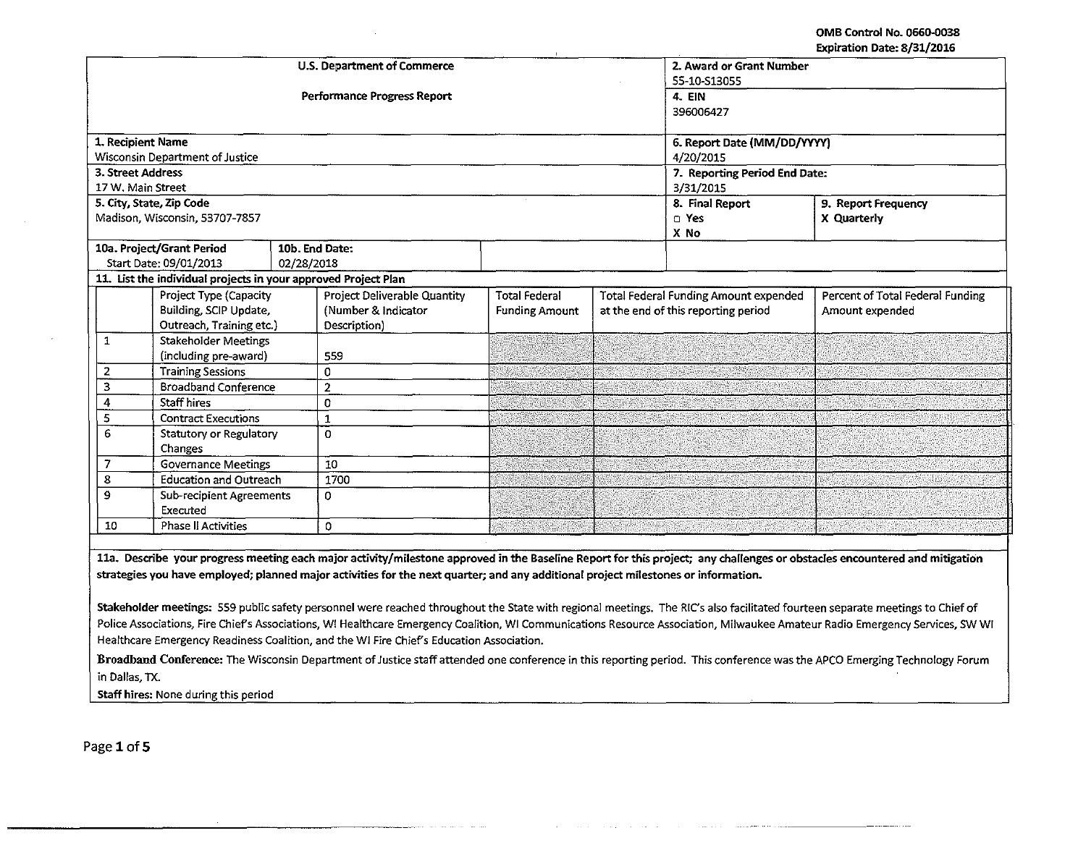OMB Control No. 0660.0038 Expiration Date: 8/31/2016

| <b>U.S. Department of Commerce</b>               |                                                                                                        |                                    |                                     |                       |  | 2. Award or Grant Number<br>55-10-S13055     |                                                                                                                                                                            |  |
|--------------------------------------------------|--------------------------------------------------------------------------------------------------------|------------------------------------|-------------------------------------|-----------------------|--|----------------------------------------------|----------------------------------------------------------------------------------------------------------------------------------------------------------------------------|--|
|                                                  |                                                                                                        | <b>Performance Progress Report</b> | 4. EIN<br>396006427                 |                       |  |                                              |                                                                                                                                                                            |  |
|                                                  |                                                                                                        |                                    |                                     |                       |  |                                              |                                                                                                                                                                            |  |
| 1. Recipient Name                                |                                                                                                        |                                    | 6. Report Date (MM/DD/YYYY)         |                       |  |                                              |                                                                                                                                                                            |  |
|                                                  | <b>Wisconsin Department of Justice</b>                                                                 |                                    |                                     |                       |  | 4/20/2015                                    |                                                                                                                                                                            |  |
| 3. Street Address                                |                                                                                                        |                                    |                                     |                       |  | 7. Reporting Period End Date:                |                                                                                                                                                                            |  |
| 17 W. Main Street                                |                                                                                                        |                                    |                                     |                       |  | 3/31/2015                                    |                                                                                                                                                                            |  |
|                                                  | 5. City, State, Zip Code                                                                               |                                    |                                     |                       |  | 8. Final Report                              | 9. Report Frequency                                                                                                                                                        |  |
| Madison, Wisconsin, 53707-7857                   |                                                                                                        |                                    |                                     |                       |  | n Yes                                        | X Quarterly                                                                                                                                                                |  |
|                                                  | X No<br>10a. Project/Grant Period<br>10b. End Date:                                                    |                                    |                                     |                       |  |                                              |                                                                                                                                                                            |  |
|                                                  |                                                                                                        |                                    |                                     |                       |  |                                              |                                                                                                                                                                            |  |
|                                                  | Start Date: 09/01/2013<br>02/28/2018<br>11. List the individual projects in your approved Project Plan |                                    |                                     |                       |  |                                              |                                                                                                                                                                            |  |
|                                                  | <b>Project Type (Capacity</b>                                                                          |                                    | <b>Project Deliverable Quantity</b> | <b>Total Federal</b>  |  | <b>Total Federal Funding Amount expended</b> | Percent of Total Federal Funding                                                                                                                                           |  |
|                                                  | Building, SCIP Update,                                                                                 |                                    | (Number & Indicator                 | <b>Funding Amount</b> |  | at the end of this reporting period          | Amount expended                                                                                                                                                            |  |
|                                                  | Outreach, Training etc.)                                                                               | Description)                       |                                     |                       |  |                                              |                                                                                                                                                                            |  |
| 1                                                | <b>Stakeholder Meetings</b>                                                                            |                                    |                                     |                       |  |                                              |                                                                                                                                                                            |  |
|                                                  | (including pre-award)                                                                                  | 559                                |                                     |                       |  |                                              |                                                                                                                                                                            |  |
| $\overline{2}$                                   | <b>Training Sessions</b>                                                                               |                                    |                                     |                       |  |                                              |                                                                                                                                                                            |  |
| <b>Broadband Conference</b><br>з                 |                                                                                                        | $\overline{2}$                     |                                     |                       |  |                                              |                                                                                                                                                                            |  |
| 4                                                | <b>Staff hires</b>                                                                                     | 0                                  |                                     |                       |  |                                              |                                                                                                                                                                            |  |
| 5                                                | <b>Contract Executions</b>                                                                             | 1                                  |                                     |                       |  |                                              |                                                                                                                                                                            |  |
| 6                                                | <b>Statutory or Regulatory</b>                                                                         |                                    |                                     |                       |  |                                              |                                                                                                                                                                            |  |
|                                                  | Changes                                                                                                | 10                                 |                                     |                       |  |                                              |                                                                                                                                                                            |  |
|                                                  | $\overline{7}$<br><b>Governance Meetings</b>                                                           |                                    |                                     |                       |  |                                              |                                                                                                                                                                            |  |
| 8<br><b>Education and Outreach</b>               |                                                                                                        | 1700                               |                                     |                       |  |                                              |                                                                                                                                                                            |  |
| 9<br><b>Sub-recipient Agreements</b><br>Executed |                                                                                                        | 0                                  |                                     |                       |  |                                              |                                                                                                                                                                            |  |
| 10                                               | Phase II Activities                                                                                    | $\Omega$                           |                                     |                       |  |                                              |                                                                                                                                                                            |  |
|                                                  |                                                                                                        |                                    |                                     |                       |  |                                              |                                                                                                                                                                            |  |
|                                                  |                                                                                                        |                                    |                                     |                       |  |                                              | 11a. Describe your progress meeting each major activity/milestone approved in the Baseline Report for this project; any challenges or obstacles encountered and mitigation |  |

strategies you have employed; planned major activities for the next quarter; and any additional project milestones or information.

Stakeholder meetings: 559 public safety personnel were reached throughout the State with regional meetings. The RIC's also facilitated fourteen separate meetings to Chief of Police Associations, Fire Chief's Associations, W! Healthcare Emergency Coalition, W! Communications Resource Association, Milwaukee Amateur Radio Emergency Services, SW W! Healthcare Emergency Readiness Coalition, and the WI Fire Chief's Education Association.

Broadband Conference: The Wisconsin Department of Justice staff attended one conference in this reporting period. This conference was the APCO Emerging Technology Forum in Dallas, TX.

Staff hires: None during this period

Page 1 of 5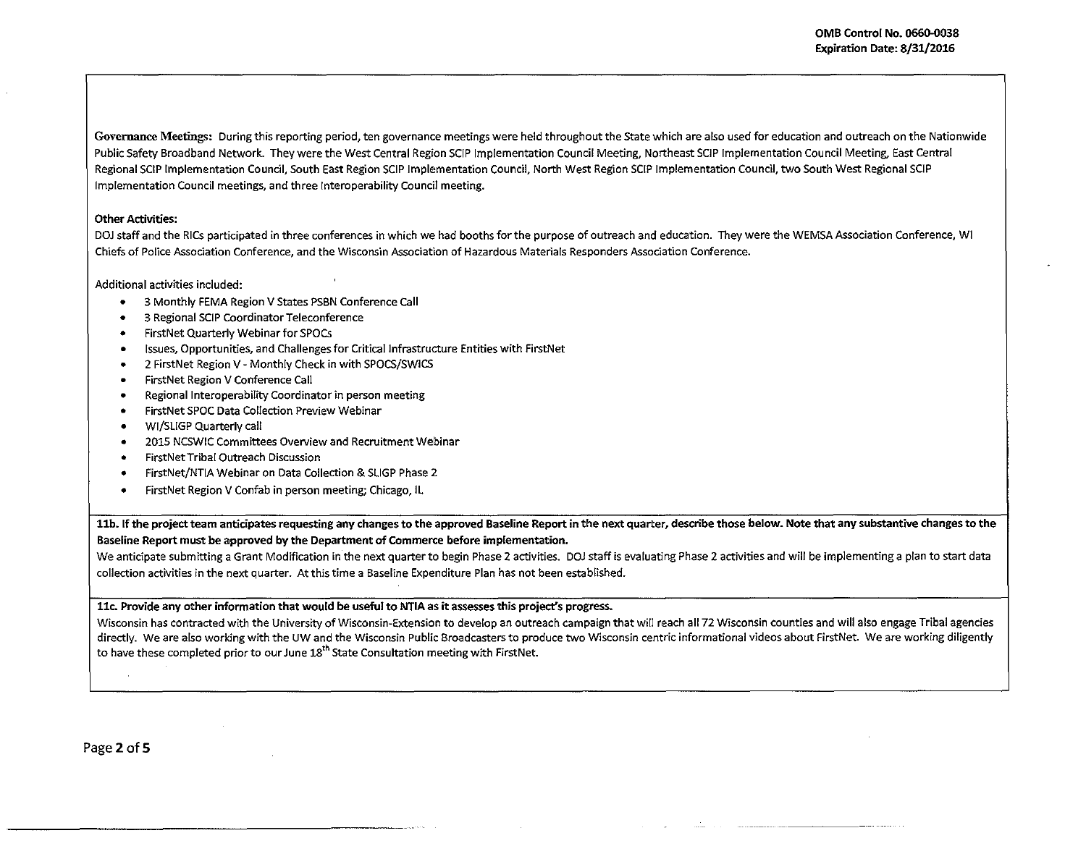Governance Meetings: During this reporting period, ten governance meetings were held throughout the State which are also used for education and outreach on the Nationwide Public Safety Broadband Network. They were the West Central Region SCIP Implementation Council Meeting, Northeast SCIP Implementation Council Meeting, East Central Regional SCIP Implementation Council. South East Region SCIP Implementation Council, North West Region SCIP Implementation Council, two South West Regional SCIP Implementation Council meetings, and three lnteroperability Council meeting.

## Other Activities:

DOJ staff and the RICs participated in three conferences in which we had booths for the purpose of outreach and education. They were the WEMSA Association Conference, WI Chiefs of Police Association Conference, and the Wisconsin Association of Hazardous Materials Responders Association Conference.

Additional activities included:

- 3 Monthly FEMA Region V States PSBN Conference Call
- 3 Regional SCIP Coordinator Teleconference
- FirstNet Quarterly Webinar for SPOCs
- Issues, Opportunities, and Challenges for Critical Infrastructure Entities with FirstNet
- 2 FirstNet Region V- Monthly Check in with SPOCS/SWICS
- FirstNet Region V Conference Call
- Regional Interoperability Coordinator in person meeting
- FirstNet SPOC Data Collection Preview Webinar
- WI/SLIGP Quarterly call
- 2015 NCSWIC Committees Overview and Recruitment Webinar
- FirstNetTribal Outreach Discussion
- FirstNet/NTIA Webinar on Data Collection & SLIGP Phase 2
- FirstNet Region V Confab in person meeting; Chicago, lL

11b. If the project team anticipates requesting any changes to the approved Baseline Report in the next quarter, describe those below. Note that any substantive changes to the Baseline Report must be approved by the Department of Commerce before implementation.

We anticipate submitting a Grant Modification in the next quarter to begin Phase 2 activities. DOJ staff is evaluating Phase 2 activities and will be implementing a plan to start data collection activities in the next quarter. At this time a Baseline Expenditure Plan has not been established.

llc. Provide any other information that would be useful to NTIA as it assesses this project's progress.

Wisconsin has contracted with the University of Wisconsin-Extension to develop an outreach campaign that will reach all72 Wisconsin counties and will also engage Tribal agencies directly. We are also working with the UW and the Wisconsin Public Broadcasters to produce two Wisconsin centric informational videos about FirstNet. We are working diligently to have these completed prior to our June 18<sup>th</sup> State Consultation meeting with First Net.

**Collection**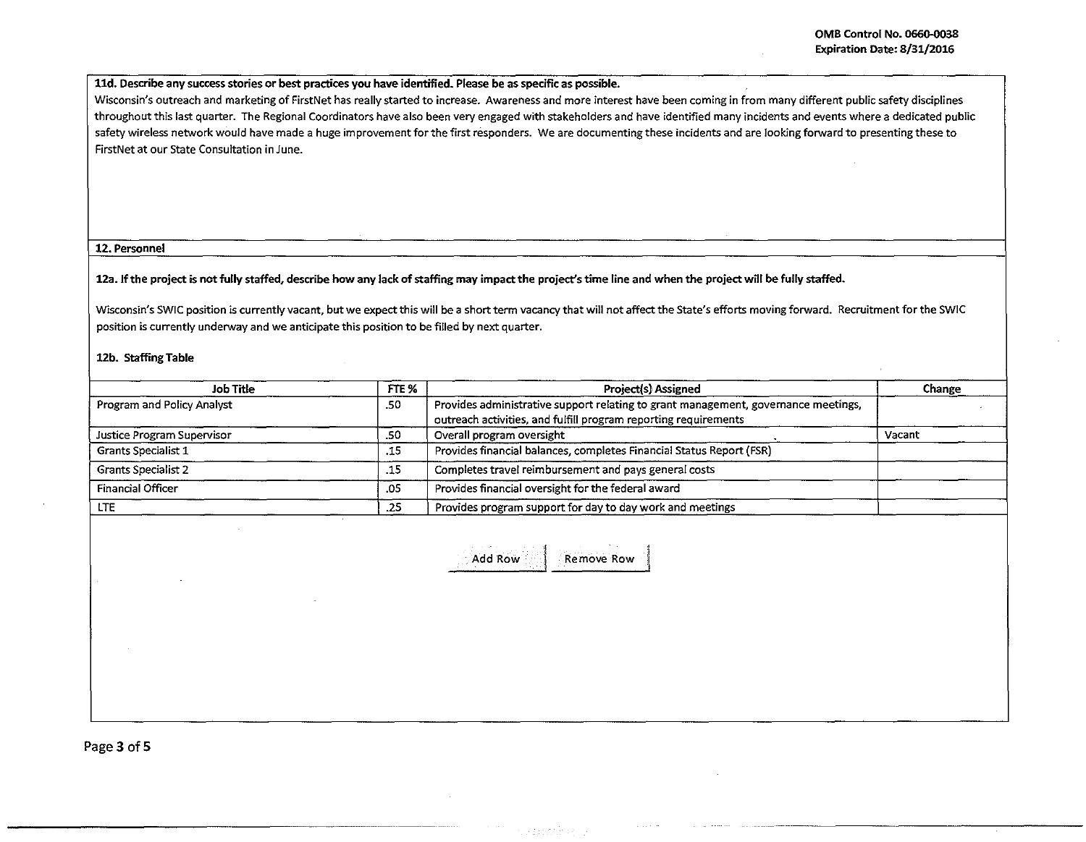## lld. Describe any success stories or best practices you have identified. Please be as specific as possible.

Wisconsin's outreach and marketing of FirstNet has really started to increase. Awareness and more interest have been coming in from many different public safety disciplines throughout this last quarter. The Regional Coordinators have also been very engaged with stakeholders and have identified many incidents and events where a dedicated public safety wireless network would have made a huge improvement for the first responders. We are documenting these incidents and are looking forward to presenting these to FirstNet at our State Consultation in June.

### 12. Personnel

12a. If the project is not fully staffed, describe how any lack of staffing may impact the project's time line and when the project will be fully staffed.

Wisconsin's SWIC position is currently vacant, but we expect this will be a short term vacancy that will not affect the State's efforts moving forward. Recruitment for the SWIC position is currently underway and we anticipate this position to be filled by next quarter.

#### 12b. Staffing Table

| Job Title                  | FTE % | <b>Project(s) Assigned</b>                                                                                                                            | Change |  |
|----------------------------|-------|-------------------------------------------------------------------------------------------------------------------------------------------------------|--------|--|
| Program and Policy Analyst | .50   | Provides administrative support relating to grant management, governance meetings,<br>outreach activities, and fulfill program reporting requirements |        |  |
| Justice Program Supervisor | .50   | Overall program oversight                                                                                                                             | Vacant |  |
| <b>Grants Specialist 1</b> | .15   | Provides financial balances, completes Financial Status Report (FSR)                                                                                  |        |  |
| <b>Grants Specialist 2</b> | .15   | Completes travel reimbursement and pays general costs                                                                                                 |        |  |
| <b>Financial Officer</b>   | .05   | Provides financial oversight for the federal award                                                                                                    |        |  |
| <b>LTE</b>                 | .25   | Provides program support for day to day work and meetings                                                                                             |        |  |

Add Row Remove Row

Page 3 of 5

-------------------·--·-~~--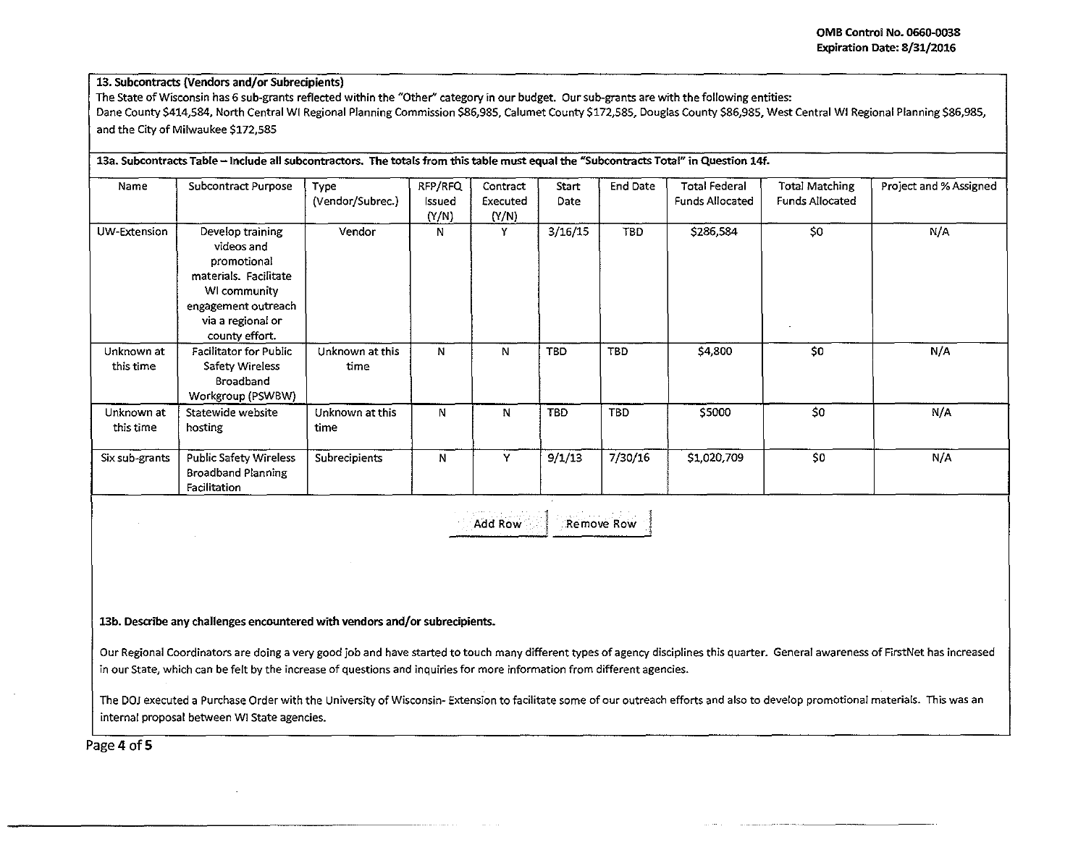.

# 13. Subcontracts (Vendors and/or Subrecipients)

The State of Wisconsin has 6 sub-grants reflected within the "Other" category in our budget. Our sub-grants are with the following entities: Dane County \$414,584, North Central WI Regional Planning Commission \$86,985, Calumet County \$172,585, Douglas County \$86,985, West Central WI Regional Planning \$86,985, and the City of Milwaukee \$172,585

| Name                    | Subcontract Purpose                                                                                                                                  | Type<br>(Vendor/Subrec.) | RFP/RFQ<br>Issued<br>(Y/N) | Contract<br>Executed<br>(Y/N) | Start<br>Date | End Date   | <b>Total Federal</b><br><b>Funds Allocated</b> | Total Matching<br><b>Funds Allocated</b> | Project and % Assigned |
|-------------------------|------------------------------------------------------------------------------------------------------------------------------------------------------|--------------------------|----------------------------|-------------------------------|---------------|------------|------------------------------------------------|------------------------------------------|------------------------|
| UW-Extension            | Develop training<br>videos and<br>promotional<br>materials. Facilitate<br>WI community<br>engagement outreach<br>via a regional or<br>county effort. | Vendor                   | N                          | Y                             | 3/16/15       | TBD.       | \$286,584                                      | \$0                                      | N/A                    |
| Unknown at<br>this time | <b>Facilitator for Public</b><br>Safety Wireless<br>Broadband<br>Workgroup (PSWBW)                                                                   | Unknown at this<br>time  | N                          | N                             | TBD           | TBD        | \$4,800                                        | S <sub>0</sub>                           | N/A                    |
| Unknown at<br>this time | Statewide website<br>hosting                                                                                                                         | Unknown at this<br>time  | N                          | N                             | <b>TBD</b>    | <b>TBD</b> | \$5000                                         | \$0                                      | N/A                    |
| Six sub-grants          | <b>Public Safety Wireless</b><br><b>Broadband Planning</b><br>Facilitation                                                                           | <b>Subrecipients</b>     | N                          | Y.                            | 9/1/13        | 7/30/16    | \$1,020,709                                    | \$0                                      | N/A                    |

Add Row **Remove Row** 

# 13b. Describe any challenges encountered with vendors and/or subrecipients.

Our Regional Coordinators are doing a very good job and have started to touch many different types of agency disciplines this quarter. General awareness of FirstNet has increased in our State, which can be felt by the increase of questions and inquiries for more information from different agencies.

The DOJ executed a Purchase Order with the University of Wisconsin- Extension to facilitate some of our outreach efforts and also to develop promotional materials. This was an internal proposal between WI State agencies.

Page 4 of 5